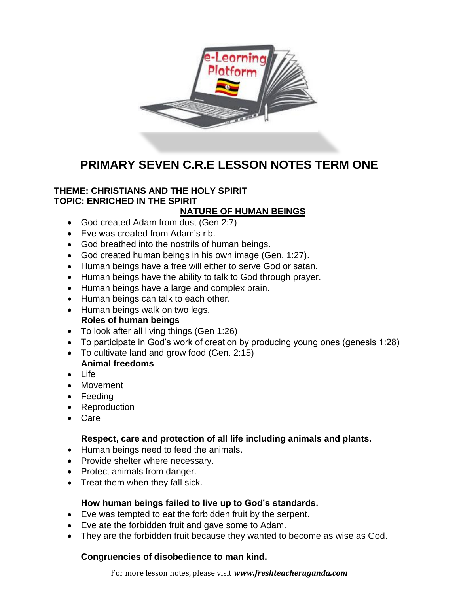

# **PRIMARY SEVEN C.R.E LESSON NOTES TERM ONE**

# **THEME: CHRISTIANS AND THE HOLY SPIRIT TOPIC: ENRICHED IN THE SPIRIT**

# **NATURE OF HUMAN BEINGS**

- God created Adam from dust (Gen 2:7)
- Eve was created from Adam's rib.
- God breathed into the nostrils of human beings.
- God created human beings in his own image (Gen. 1:27).
- Human beings have a free will either to serve God or satan.
- Human beings have the ability to talk to God through prayer.
- Human beings have a large and complex brain.
- Human beings can talk to each other.
- Human beings walk on two legs. **Roles of human beings**
- To look after all living things (Gen 1:26)
- To participate in God's work of creation by producing young ones (genesis 1:28)
- To cultivate land and grow food (Gen. 2:15) **Animal freedoms**
- Life
- Movement
- Feeding
- Reproduction
- Care

# **Respect, care and protection of all life including animals and plants.**

- Human beings need to feed the animals.
- Provide shelter where necessary.
- Protect animals from danger.
- Treat them when they fall sick.

# **How human beings failed to live up to God's standards.**

- Eve was tempted to eat the forbidden fruit by the serpent.
- Eve ate the forbidden fruit and gave some to Adam.
- They are the forbidden fruit because they wanted to become as wise as God.

# **Congruencies of disobedience to man kind.**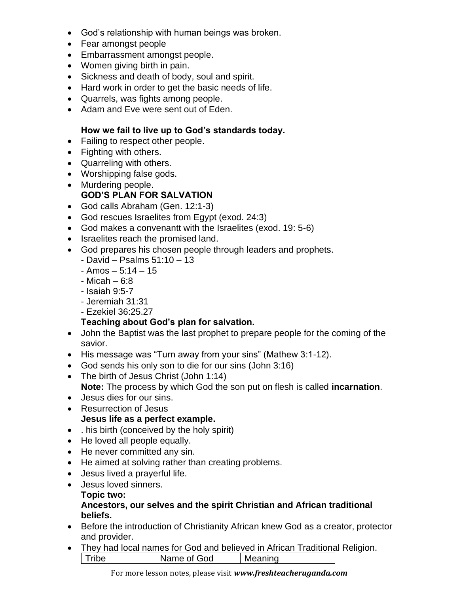- God's relationship with human beings was broken.
- Fear amongst people
- Embarrassment amongst people.
- Women giving birth in pain.
- Sickness and death of body, soul and spirit.
- Hard work in order to get the basic needs of life.
- Quarrels, was fights among people.
- Adam and Eve were sent out of Eden.

#### **How we fail to live up to God's standards today.**

- Failing to respect other people.
- Fighting with others.
- Quarreling with others.
- Worshipping false gods.
- Murdering people.

# **GOD'S PLAN FOR SALVATION**

- God calls Abraham (Gen. 12:1-3)
- God rescues Israelites from Egypt (exod. 24:3)
- God makes a convenantt with the Israelites (exod. 19: 5-6)
- Israelites reach the promised land.
- God prepares his chosen people through leaders and prophets.
	- David Psalms 51:10 13
	- $-$  Amos  $-$  5:14  $-$  15
	- Micah 6:8
	- Isaiah 9:5-7
	- Jeremiah 31:31
	- Ezekiel 36:25.27

# **Teaching about God's plan for salvation.**

- John the Baptist was the last prophet to prepare people for the coming of the savior.
- His message was "Turn away from your sins" (Mathew 3:1-12).
- God sends his only son to die for our sins (John 3:16)
- The birth of Jesus Christ (John 1:14) **Note:** The process by which God the son put on flesh is called **incarnation**.
- Jesus dies for our sins.
- Resurrection of Jesus

# **Jesus life as a perfect example.**

- . his birth (conceived by the holy spirit)
- He loved all people equally.
- He never committed any sin.
- He aimed at solving rather than creating problems.
- Jesus lived a prayerful life.
- Jesus loved sinners.

#### **Topic two:**

#### **Ancestors, our selves and the spirit Christian and African traditional beliefs.**

- Before the introduction of Christianity African knew God as a creator, protector and provider.
- They had local names for God and believed in African Traditional Religion. | Tribe | Name of God | Meaning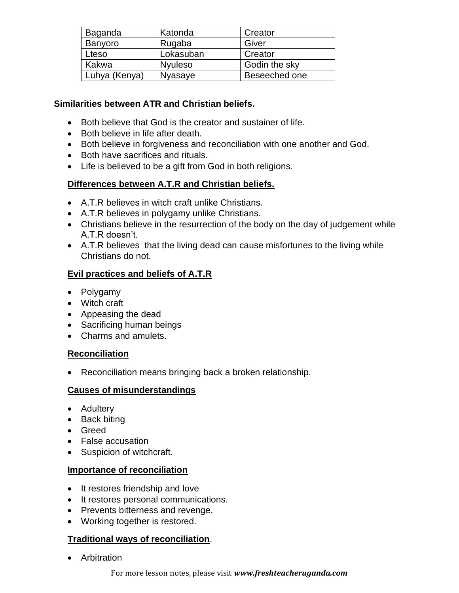| Baganda       | Katonda        | Creator       |
|---------------|----------------|---------------|
| Banyoro       | Rugaba         | Giver         |
| Lteso         | Lokasuban      | Creator       |
| Kakwa         | <b>Nyuleso</b> | Godin the sky |
| Luhya (Kenya) | Nyasaye        | Beseeched one |

#### **Similarities between ATR and Christian beliefs.**

- Both believe that God is the creator and sustainer of life.
- Both believe in life after death.
- Both believe in forgiveness and reconciliation with one another and God.
- Both have sacrifices and rituals.
- Life is believed to be a gift from God in both religions.

# **Differences between A.T.R and Christian beliefs.**

- A.T.R believes in witch craft unlike Christians.
- A.T.R believes in polygamy unlike Christians.
- Christians believe in the resurrection of the body on the day of judgement while A.T.R doesn't.
- A.T.R believes that the living dead can cause misfortunes to the living while Christians do not.

# **Evil practices and beliefs of A.T.R**

- Polygamy
- Witch craft
- Appeasing the dead
- Sacrificing human beings
- Charms and amulets.

# **Reconciliation**

• Reconciliation means bringing back a broken relationship.

# **Causes of misunderstandings**

- Adultery
- Back biting
- Greed
- False accusation
- Suspicion of witchcraft.

#### **Importance of reconciliation**

- It restores friendship and love
- It restores personal communications.
- Prevents bitterness and revenge.
- Working together is restored.

# **Traditional ways of reconciliation**.

• Arbitration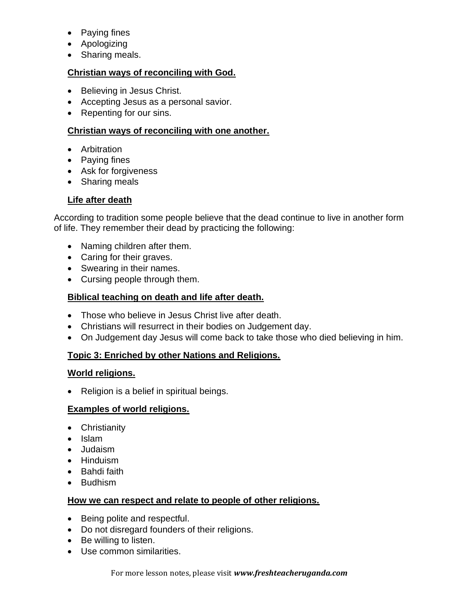- Paying fines
- Apologizing
- Sharing meals.

#### **Christian ways of reconciling with God.**

- Believing in Jesus Christ.
- Accepting Jesus as a personal savior.
- Repenting for our sins.

#### **Christian ways of reconciling with one another.**

- Arbitration
- Paying fines
- Ask for forgiveness
- Sharing meals

# **Life after death**

According to tradition some people believe that the dead continue to live in another form of life. They remember their dead by practicing the following:

- Naming children after them.
- Caring for their graves.
- Swearing in their names.
- Cursing people through them.

# **Biblical teaching on death and life after death.**

- Those who believe in Jesus Christ live after death.
- Christians will resurrect in their bodies on Judgement day.
- On Judgement day Jesus will come back to take those who died believing in him.

# **Topic 3: Enriched by other Nations and Religions.**

#### **World religions.**

• Religion is a belief in spiritual beings.

#### **Examples of world religions.**

- Christianity
- Islam
- Judaism
- Hinduism
- Bahdi faith
- Budhism

#### **How we can respect and relate to people of other religions.**

- Being polite and respectful.
- Do not disregard founders of their religions.
- Be willing to listen.
- Use common similarities.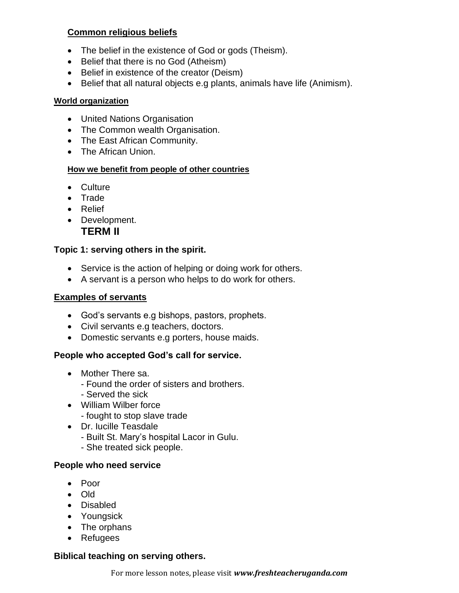# **Common religious beliefs**

- The belief in the existence of God or gods (Theism).
- Belief that there is no God (Atheism)
- Belief in existence of the creator (Deism)
- Belief that all natural objects e.g plants, animals have life (Animism).

#### **World organization**

- United Nations Organisation
- The Common wealth Organisation.
- The East African Community.
- The African Union.

# **How we benefit from people of other countries**

- Culture
- Trade
- Relief
- Development. **TERM II**

# **Topic 1: serving others in the spirit.**

- Service is the action of helping or doing work for others.
- A servant is a person who helps to do work for others.

# **Examples of servants**

- God's servants e.g bishops, pastors, prophets.
- Civil servants e.g teachers, doctors.
- Domestic servants e.g porters, house maids.

# **People who accepted God's call for service.**

- Mother There sa.
	- Found the order of sisters and brothers.
	- Served the sick
- William Wilber force
	- fought to stop slave trade
- Dr. Iucille Teasdale
	- Built St. Mary's hospital Lacor in Gulu.
	- She treated sick people.

# **People who need service**

- Poor
- Old
- Disabled
- Youngsick
- The orphans
- Refugees

# **Biblical teaching on serving others.**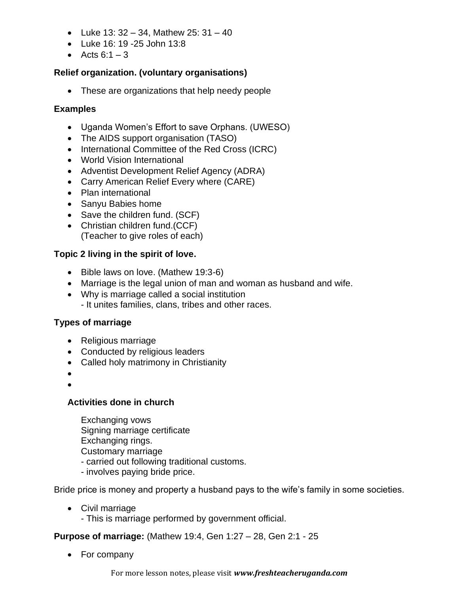- Luke  $13: 32 34$ , Mathew  $25: 31 40$
- Luke 16: 19 -25 John 13:8
- Acts  $6:1-3$

#### **Relief organization. (voluntary organisations)**

• These are organizations that help needy people

#### **Examples**

- Uganda Women's Effort to save Orphans. (UWESO)
- The AIDS support organisation (TASO)
- International Committee of the Red Cross (ICRC)
- World Vision International
- Adventist Development Relief Agency (ADRA)
- Carry American Relief Every where (CARE)
- Plan international
- Sanyu Babies home
- Save the children fund. (SCF)
- Christian children fund.(CCF) (Teacher to give roles of each)

#### **Topic 2 living in the spirit of love.**

- Bible laws on love. (Mathew 19:3-6)
- Marriage is the legal union of man and woman as husband and wife.
- Why is marriage called a social institution - It unites families, clans, tribes and other races.

#### **Types of marriage**

- Religious marriage
- Conducted by religious leaders
- Called holy matrimony in Christianity
- •

#### **Activities done in church**

Exchanging vows Signing marriage certificate Exchanging rings. Customary marriage - carried out following traditional customs.

- involves paying bride price.

Bride price is money and property a husband pays to the wife's family in some societies.

- Civil marriage
	- This is marriage performed by government official.

**Purpose of marriage:** (Mathew 19:4, Gen 1:27 – 28, Gen 2:1 - 25

• For company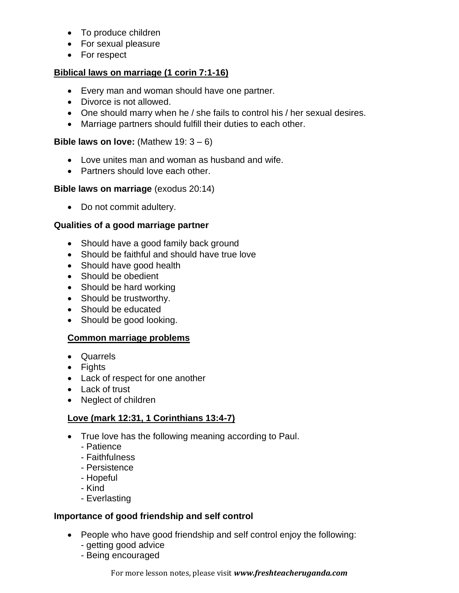- To produce children
- For sexual pleasure
- For respect

#### **Biblical laws on marriage (1 corin 7:1-16)**

- Every man and woman should have one partner.
- Divorce is not allowed.
- One should marry when he / she fails to control his / her sexual desires.
- Marriage partners should fulfill their duties to each other.

#### **Bible laws on love:** (Mathew 19: 3 – 6)

- Love unites man and woman as husband and wife.
- Partners should love each other.

#### **Bible laws on marriage** (exodus 20:14)

• Do not commit adultery.

#### **Qualities of a good marriage partner**

- Should have a good family back ground
- Should be faithful and should have true love
- Should have good health
- Should be obedient
- Should be hard working
- Should be trustworthy.
- Should be educated
- Should be good looking.

#### **Common marriage problems**

- Quarrels
- Fights
- Lack of respect for one another
- Lack of trust
- Neglect of children

# **Love (mark 12:31, 1 Corinthians 13:4-7)**

- True love has the following meaning according to Paul.
	- Patience
	- Faithfulness
	- Persistence
	- Hopeful
	- Kind
	- Everlasting

#### **Importance of good friendship and self control**

- People who have good friendship and self control enjoy the following:
	- getting good advice
	- Being encouraged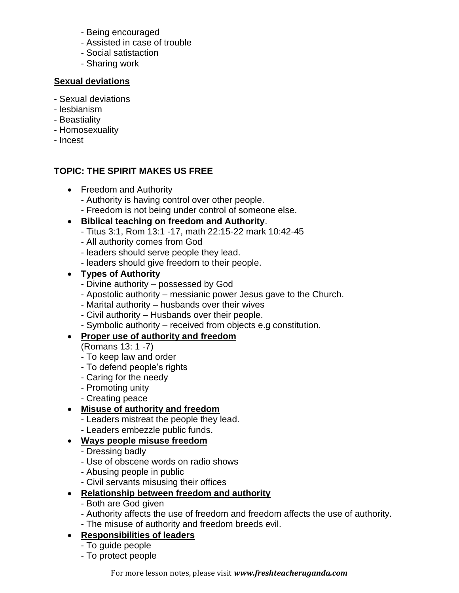- Being encouraged
- Assisted in case of trouble
- Social satistaction
- Sharing work

#### **Sexual deviations**

- Sexual deviations
- lesbianism
- Beastiality
- Homosexuality
- Incest

# **TOPIC: THE SPIRIT MAKES US FREE**

- Freedom and Authority
	- Authority is having control over other people.
	- Freedom is not being under control of someone else.
- **Biblical teaching on freedom and Authority**.
	- Titus 3:1, Rom 13:1 -17, math 22:15-22 mark 10:42-45
	- All authority comes from God
	- leaders should serve people they lead.
	- leaders should give freedom to their people.
- **Types of Authority**
	- Divine authority possessed by God
	- Apostolic authority messianic power Jesus gave to the Church.
	- Marital authority husbands over their wives
	- Civil authority Husbands over their people.
	- Symbolic authority received from objects e.g constitution.

# • **Proper use of authority and freedom**

- (Romans 13: 1 -7)
- To keep law and order
- To defend people's rights
- Caring for the needy
- Promoting unity
- Creating peace

# • **Misuse of authority and freedom**

- Leaders mistreat the people they lead.
- Leaders embezzle public funds.

# • **Ways people misuse freedom**

- Dressing badly
- Use of obscene words on radio shows
- Abusing people in public
- Civil servants misusing their offices

# • **Relationship between freedom and authority**

- Both are God given
- Authority affects the use of freedom and freedom affects the use of authority.
- The misuse of authority and freedom breeds evil.

# • **Responsibilities of leaders**

- To guide people
- To protect people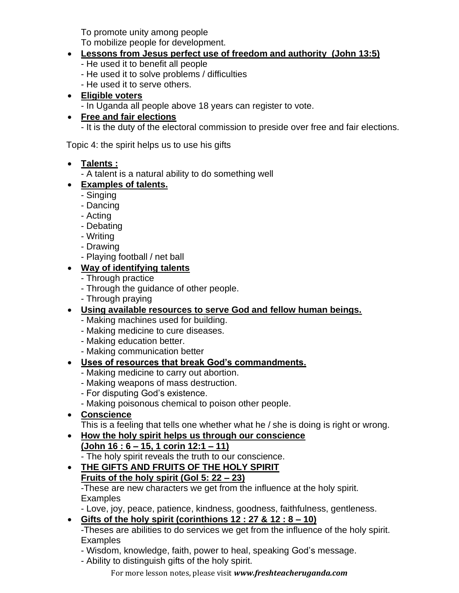To promote unity among people

To mobilize people for development.

# • **Lessons from Jesus perfect use of freedom and authority (John 13:5)**

- He used it to benefit all people
- He used it to solve problems / difficulties
- He used it to serve others.
- **Eligible voters**

- In Uganda all people above 18 years can register to vote.

• **Free and fair elections** 

- It is the duty of the electoral commission to preside over free and fair elections.

Topic 4: the spirit helps us to use his gifts

#### • **Talents :**

- A talent is a natural ability to do something well

# • **Examples of talents.**

- Singing
- Dancing
- Acting
- Debating
- Writing
- Drawing
- Playing football / net ball

# • **Way of identifying talents**

- Through practice
- Through the guidance of other people.
- Through praying
- **Using available resources to serve God and fellow human beings.**
	- Making machines used for building.
	- Making medicine to cure diseases.
	- Making education better.
	- Making communication better

# • **Uses of resources that break God's commandments.**

- Making medicine to carry out abortion.
- Making weapons of mass destruction.
- For disputing God's existence.
- Making poisonous chemical to poison other people.
- **Conscience**

This is a feeling that tells one whether what he / she is doing is right or wrong.

- **How the holy spirit helps us through our conscience (John 16 : 6 – 15, 1 corin 12:1 – 11)**
	- The holy spirit reveals the truth to our conscience.

#### • **THE GIFTS AND FRUITS OF THE HOLY SPIRIT Fruits of the holy spirit (Gol 5: 22 – 23)**

-These are new characters we get from the influence at the holy spirit. **Examples** 

- Love, joy, peace, patience, kindness, goodness, faithfulness, gentleness.

# • **Gifts of the holy spirit (corinthions 12 : 27 & 12 : 8 – 10)**

-Theses are abilities to do services we get from the influence of the holy spirit. **Examples** 

- Wisdom, knowledge, faith, power to heal, speaking God's message.
- Ability to distinguish gifts of the holy spirit.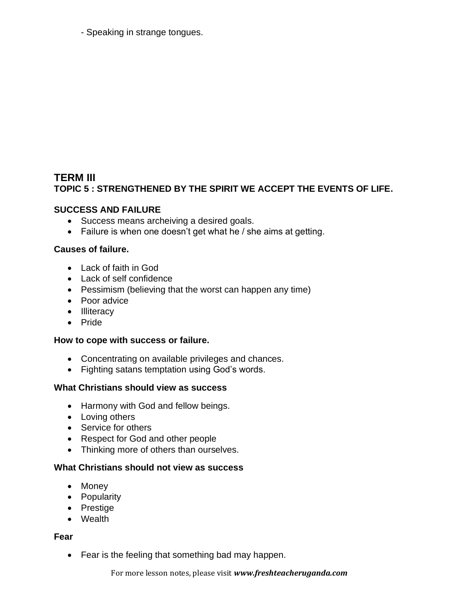- Speaking in strange tongues.

# **TERM III TOPIC 5 : STRENGTHENED BY THE SPIRIT WE ACCEPT THE EVENTS OF LIFE.**

#### **SUCCESS AND FAILURE**

- Success means archeiving a desired goals.
- Failure is when one doesn't get what he / she aims at getting.

#### **Causes of failure.**

- Lack of faith in God
- Lack of self confidence
- Pessimism (believing that the worst can happen any time)
- Poor advice
- Illiteracy
- Pride

#### **How to cope with success or failure.**

- Concentrating on available privileges and chances.
- Fighting satans temptation using God's words.

# **What Christians should view as success**

- Harmony with God and fellow beings.
- Loving others
- Service for others
- Respect for God and other people
- Thinking more of others than ourselves.

#### **What Christians should not view as success**

- Money
- Popularity
- Prestige
- Wealth

#### **Fear**

• Fear is the feeling that something bad may happen.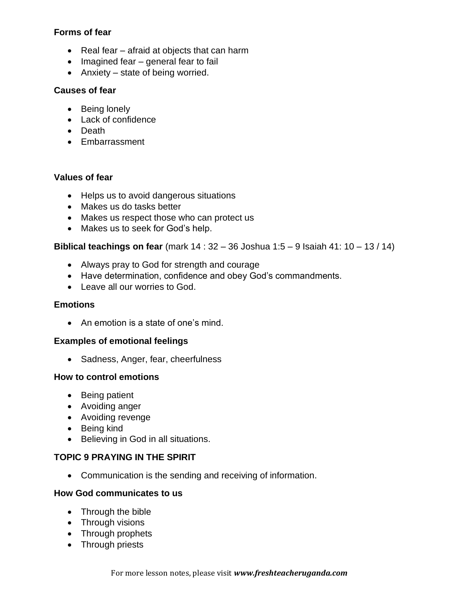#### **Forms of fear**

- Real fear afraid at objects that can harm
- Imagined fear general fear to fail
- Anxiety state of being worried.

#### **Causes of fear**

- Being lonely
- Lack of confidence
- Death
- Embarrassment

#### **Values of fear**

- Helps us to avoid dangerous situations
- Makes us do tasks better
- Makes us respect those who can protect us
- Makes us to seek for God's help.

#### **Biblical teachings on fear** (mark 14 : 32 – 36 Joshua 1:5 – 9 Isaiah 41: 10 – 13 / 14)

- Always pray to God for strength and courage
- Have determination, confidence and obey God's commandments.
- Leave all our worries to God.

#### **Emotions**

• An emotion is a state of one's mind.

#### **Examples of emotional feelings**

• Sadness, Anger, fear, cheerfulness

#### **How to control emotions**

- Being patient
- Avoiding anger
- Avoiding revenge
- Being kind
- Believing in God in all situations.

# **TOPIC 9 PRAYING IN THE SPIRIT**

• Communication is the sending and receiving of information.

#### **How God communicates to us**

- Through the bible
- Through visions
- Through prophets
- Through priests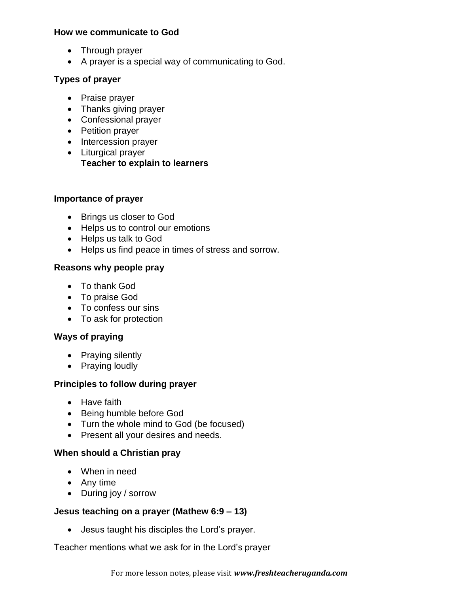#### **How we communicate to God**

- Through prayer
- A prayer is a special way of communicating to God.

#### **Types of prayer**

- Praise prayer
- Thanks giving prayer
- Confessional prayer
- Petition prayer
- Intercession prayer
- Liturgical prayer **Teacher to explain to learners**

#### **Importance of prayer**

- Brings us closer to God
- Helps us to control our emotions
- Helps us talk to God
- Helps us find peace in times of stress and sorrow.

#### **Reasons why people pray**

- To thank God
- To praise God
- To confess our sins
- To ask for protection

# **Ways of praying**

- Praying silently
- Praying loudly

#### **Principles to follow during prayer**

- Have faith
- Being humble before God
- Turn the whole mind to God (be focused)
- Present all your desires and needs.

#### **When should a Christian pray**

- When in need
- Any time
- During joy / sorrow

#### **Jesus teaching on a prayer (Mathew 6:9 – 13)**

• Jesus taught his disciples the Lord's prayer.

Teacher mentions what we ask for in the Lord's prayer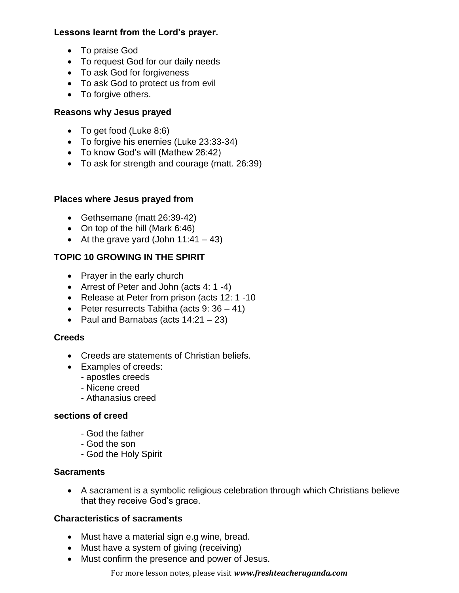# **Lessons learnt from the Lord's prayer.**

- To praise God
- To request God for our daily needs
- To ask God for forgiveness
- To ask God to protect us from evil
- To forgive others.

# **Reasons why Jesus prayed**

- To get food (Luke 8:6)
- To forgive his enemies (Luke 23:33-34)
- To know God's will (Mathew 26:42)
- To ask for strength and courage (matt. 26:39)

# **Places where Jesus prayed from**

- Gethsemane (matt 26:39-42)
- On top of the hill (Mark 6:46)
- At the grave yard (John  $11:41 43$ )

# **TOPIC 10 GROWING IN THE SPIRIT**

- Prayer in the early church
- Arrest of Peter and John (acts 4: 1 -4)
- Release at Peter from prison (acts 12: 1 -10
- Peter resurrects Tabitha (acts  $9:36-41$ )
- Paul and Barnabas (acts 14:21 23)

# **Creeds**

- Creeds are statements of Christian beliefs.
- Examples of creeds:
	- apostles creeds
	- Nicene creed
	- Athanasius creed

# **sections of creed**

- God the father
- God the son
- God the Holy Spirit

# **Sacraments**

• A sacrament is a symbolic religious celebration through which Christians believe that they receive God's grace.

# **Characteristics of sacraments**

- Must have a material sign e.g wine, bread.
- Must have a system of giving (receiving)
- Must confirm the presence and power of Jesus.